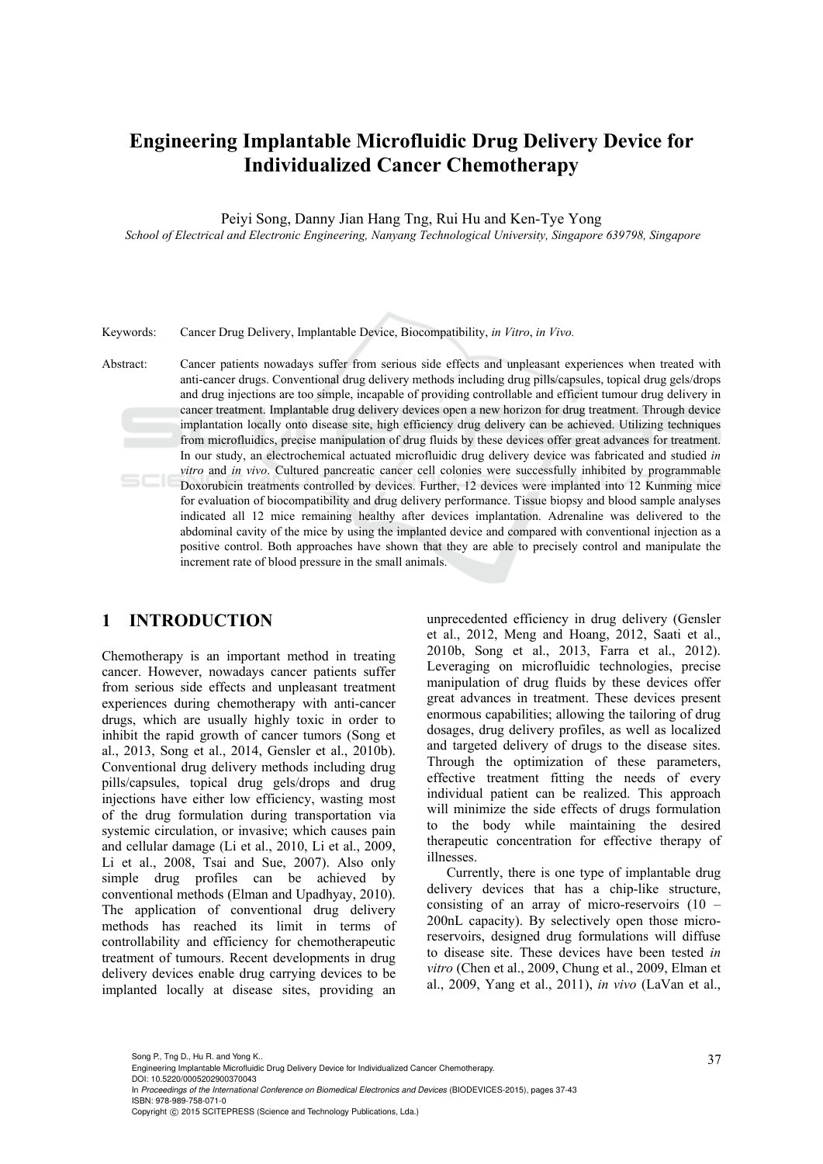# **Engineering Implantable Microfluidic Drug Delivery Device for Individualized Cancer Chemotherapy**

Peiyi Song, Danny Jian Hang Tng, Rui Hu and Ken-Tye Yong

 *School of Electrical and Electronic Engineering, Nanyang Technological University, Singapore 639798, Singapore* 

Keywords: Cancer Drug Delivery, Implantable Device, Biocompatibility, *in Vitro*, *in Vivo.*

Abstract: Cancer patients nowadays suffer from serious side effects and unpleasant experiences when treated with anti-cancer drugs. Conventional drug delivery methods including drug pills/capsules, topical drug gels/drops and drug injections are too simple, incapable of providing controllable and efficient tumour drug delivery in cancer treatment. Implantable drug delivery devices open a new horizon for drug treatment. Through device implantation locally onto disease site, high efficiency drug delivery can be achieved. Utilizing techniques from microfluidics, precise manipulation of drug fluids by these devices offer great advances for treatment. In our study, an electrochemical actuated microfluidic drug delivery device was fabricated and studied *in vitro* and *in vivo*. Cultured pancreatic cancer cell colonies were successfully inhibited by programmable Doxorubicin treatments controlled by devices. Further, 12 devices were implanted into 12 Kunming mice for evaluation of biocompatibility and drug delivery performance. Tissue biopsy and blood sample analyses indicated all 12 mice remaining healthy after devices implantation. Adrenaline was delivered to the abdominal cavity of the mice by using the implanted device and compared with conventional injection as a positive control. Both approaches have shown that they are able to precisely control and manipulate the increment rate of blood pressure in the small animals.

## **1 INTRODUCTION**

Chemotherapy is an important method in treating cancer. However, nowadays cancer patients suffer from serious side effects and unpleasant treatment experiences during chemotherapy with anti-cancer drugs, which are usually highly toxic in order to inhibit the rapid growth of cancer tumors (Song et al., 2013, Song et al., 2014, Gensler et al., 2010b). Conventional drug delivery methods including drug pills/capsules, topical drug gels/drops and drug injections have either low efficiency, wasting most of the drug formulation during transportation via systemic circulation, or invasive; which causes pain and cellular damage (Li et al., 2010, Li et al., 2009, Li et al., 2008, Tsai and Sue, 2007). Also only simple drug profiles can be achieved by conventional methods (Elman and Upadhyay, 2010). The application of conventional drug delivery methods has reached its limit in terms of controllability and efficiency for chemotherapeutic treatment of tumours. Recent developments in drug delivery devices enable drug carrying devices to be implanted locally at disease sites, providing an

unprecedented efficiency in drug delivery (Gensler et al., 2012, Meng and Hoang, 2012, Saati et al., 2010b, Song et al., 2013, Farra et al., 2012). Leveraging on microfluidic technologies, precise manipulation of drug fluids by these devices offer great advances in treatment. These devices present enormous capabilities; allowing the tailoring of drug dosages, drug delivery profiles, as well as localized and targeted delivery of drugs to the disease sites. Through the optimization of these parameters, effective treatment fitting the needs of every individual patient can be realized. This approach will minimize the side effects of drugs formulation to the body while maintaining the desired therapeutic concentration for effective therapy of illnesses.

Currently, there is one type of implantable drug delivery devices that has a chip-like structure, consisting of an array of micro-reservoirs (10 – 200nL capacity). By selectively open those microreservoirs, designed drug formulations will diffuse to disease site. These devices have been tested *in vitro* (Chen et al., 2009, Chung et al., 2009, Elman et al., 2009, Yang et al., 2011), *in vivo* (LaVan et al.,

Song P., Tng D., Hu R. and Yong K..<br>Engineering Implantable Microfluidic Drug Delivery Device for Individualized Cancer Chemotherapy. DOI: 10.5220/0005202900370043

In *Proceedings of the International Conference on Biomedical Electronics and Devices* (BIODEVICES-2015), pages 37-43 ISBN: 978-989-758-071-0

Copyright © 2015 SCITEPRESS (Science and Technology Publications, Lda.)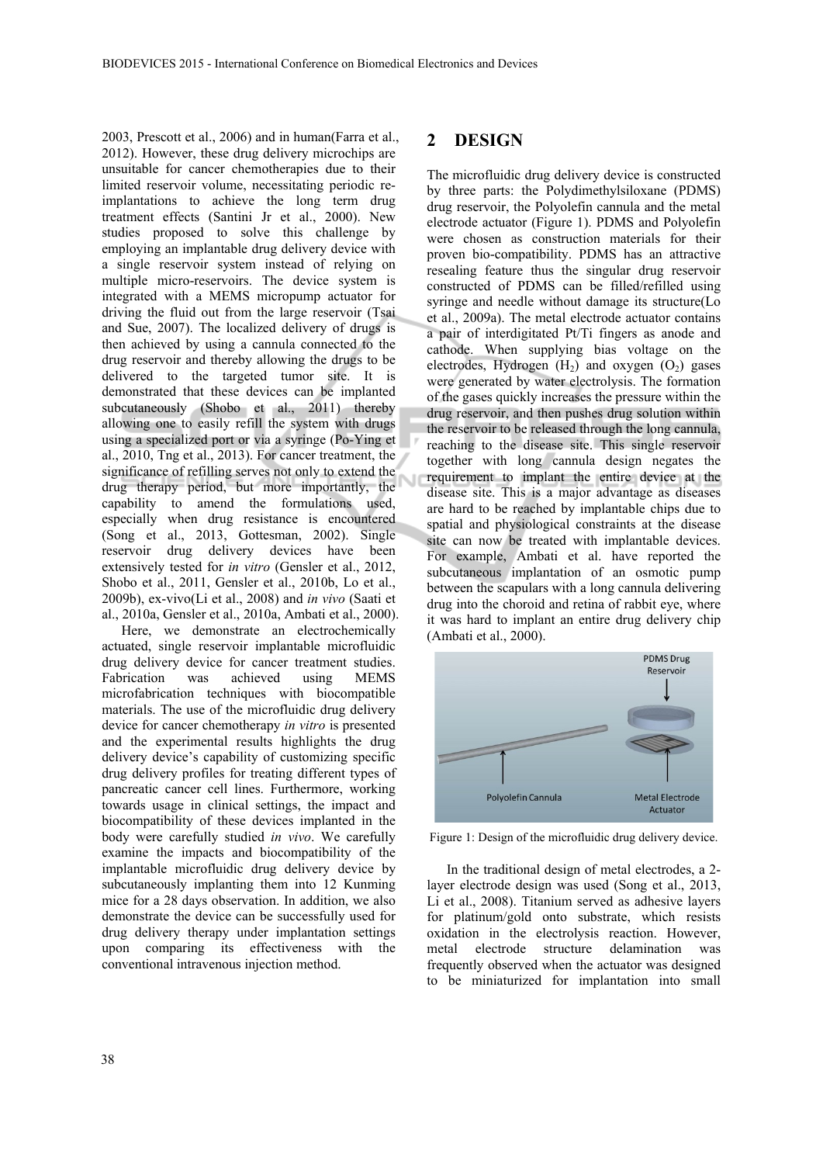2003, Prescott et al., 2006) and in human(Farra et al., 2012). However, these drug delivery microchips are unsuitable for cancer chemotherapies due to their limited reservoir volume, necessitating periodic reimplantations to achieve the long term drug treatment effects (Santini Jr et al., 2000). New studies proposed to solve this challenge by employing an implantable drug delivery device with a single reservoir system instead of relying on multiple micro-reservoirs. The device system is integrated with a MEMS micropump actuator for driving the fluid out from the large reservoir (Tsai and Sue, 2007). The localized delivery of drugs is then achieved by using a cannula connected to the drug reservoir and thereby allowing the drugs to be delivered to the targeted tumor site. It is demonstrated that these devices can be implanted subcutaneously (Shobo et al., 2011) thereby allowing one to easily refill the system with drugs using a specialized port or via a syringe (Po-Ying et al., 2010, Tng et al., 2013). For cancer treatment, the significance of refilling serves not only to extend the drug therapy period, but more importantly, the capability to amend the formulations used, especially when drug resistance is encountered (Song et al., 2013, Gottesman, 2002). Single reservoir drug delivery devices have been extensively tested for *in vitro* (Gensler et al., 2012, Shobo et al., 2011, Gensler et al., 2010b, Lo et al., 2009b), ex-vivo(Li et al., 2008) and *in vivo* (Saati et al., 2010a, Gensler et al., 2010a, Ambati et al., 2000).

Here, we demonstrate an electrochemically actuated, single reservoir implantable microfluidic drug delivery device for cancer treatment studies. Fabrication was achieved using MEMS microfabrication techniques with biocompatible materials. The use of the microfluidic drug delivery device for cancer chemotherapy *in vitro* is presented and the experimental results highlights the drug delivery device's capability of customizing specific drug delivery profiles for treating different types of pancreatic cancer cell lines. Furthermore, working towards usage in clinical settings, the impact and biocompatibility of these devices implanted in the body were carefully studied *in vivo*. We carefully examine the impacts and biocompatibility of the implantable microfluidic drug delivery device by subcutaneously implanting them into 12 Kunming mice for a 28 days observation. In addition, we also demonstrate the device can be successfully used for drug delivery therapy under implantation settings upon comparing its effectiveness with the conventional intravenous injection method.

#### **2 DESIGN**

The microfluidic drug delivery device is constructed by three parts: the Polydimethylsiloxane (PDMS) drug reservoir, the Polyolefin cannula and the metal electrode actuator (Figure 1). PDMS and Polyolefin were chosen as construction materials for their proven bio-compatibility. PDMS has an attractive resealing feature thus the singular drug reservoir constructed of PDMS can be filled/refilled using syringe and needle without damage its structure(Lo et al., 2009a). The metal electrode actuator contains a pair of interdigitated Pt/Ti fingers as anode and cathode. When supplying bias voltage on the electrodes, Hydrogen  $(H_2)$  and oxygen  $(O_2)$  gases were generated by water electrolysis. The formation of the gases quickly increases the pressure within the drug reservoir, and then pushes drug solution within the reservoir to be released through the long cannula, reaching to the disease site. This single reservoir together with long cannula design negates the requirement to implant the entire device at the disease site. This is a major advantage as diseases are hard to be reached by implantable chips due to spatial and physiological constraints at the disease site can now be treated with implantable devices. For example, Ambati et al. have reported the subcutaneous implantation of an osmotic pump between the scapulars with a long cannula delivering drug into the choroid and retina of rabbit eye, where it was hard to implant an entire drug delivery chip (Ambati et al., 2000).



Figure 1: Design of the microfluidic drug delivery device.

In the traditional design of metal electrodes, a 2 layer electrode design was used (Song et al., 2013, Li et al., 2008). Titanium served as adhesive layers for platinum/gold onto substrate, which resists oxidation in the electrolysis reaction. However, metal electrode structure delamination was frequently observed when the actuator was designed to be miniaturized for implantation into small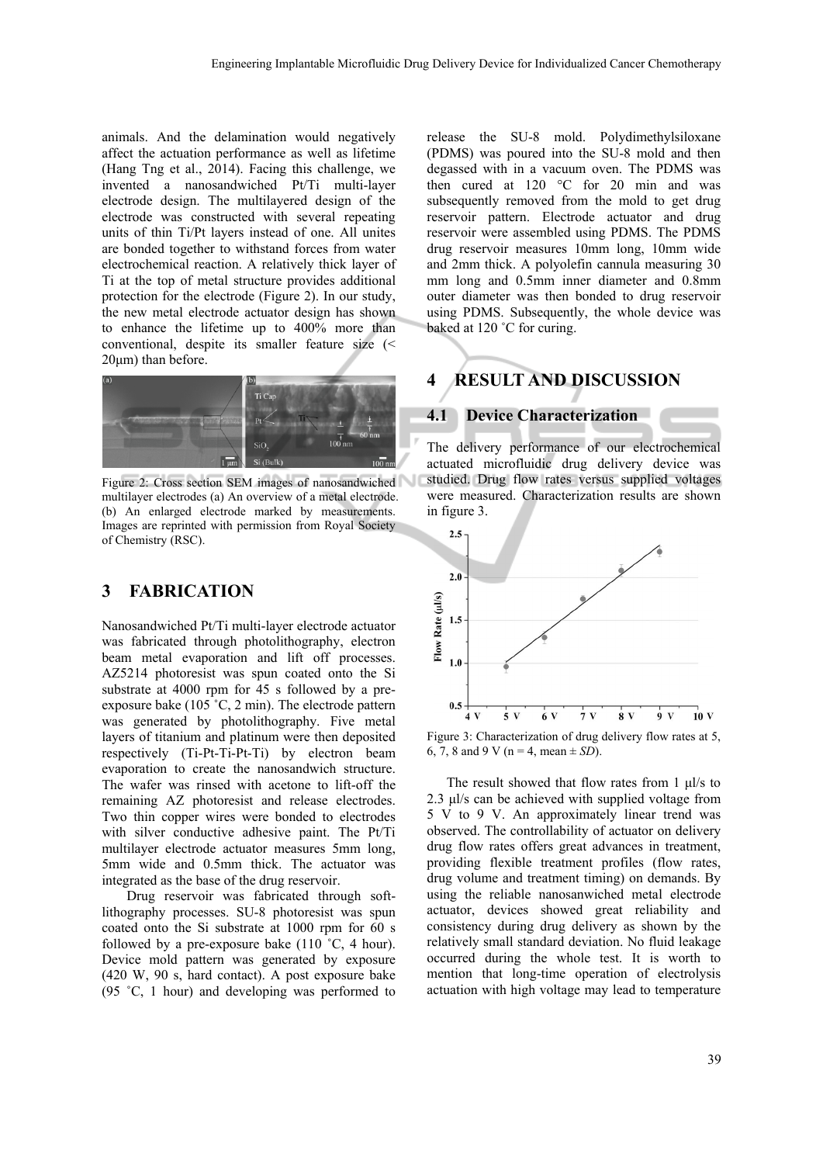animals. And the delamination would negatively affect the actuation performance as well as lifetime (Hang Tng et al., 2014). Facing this challenge, we invented a nanosandwiched Pt/Ti multi-layer electrode design. The multilayered design of the electrode was constructed with several repeating units of thin Ti/Pt layers instead of one. All unites are bonded together to withstand forces from water electrochemical reaction. A relatively thick layer of Ti at the top of metal structure provides additional protection for the electrode (Figure 2). In our study, the new metal electrode actuator design has shown to enhance the lifetime up to 400% more than conventional, despite its smaller feature size (< 20μm) than before.



Figure 2: Cross section SEM images of nanosandwiched multilayer electrodes (a) An overview of a metal electrode. (b) An enlarged electrode marked by measurements. Images are reprinted with permission from Royal Society of Chemistry (RSC).

#### **3 FABRICATION**

Nanosandwiched Pt/Ti multi-layer electrode actuator was fabricated through photolithography, electron beam metal evaporation and lift off processes. AZ5214 photoresist was spun coated onto the Si substrate at 4000 rpm for 45 s followed by a preexposure bake (105 ˚C, 2 min). The electrode pattern was generated by photolithography. Five metal layers of titanium and platinum were then deposited respectively (Ti-Pt-Ti-Pt-Ti) by electron beam evaporation to create the nanosandwich structure. The wafer was rinsed with acetone to lift-off the remaining AZ photoresist and release electrodes. Two thin copper wires were bonded to electrodes with silver conductive adhesive paint. The Pt/Ti multilayer electrode actuator measures 5mm long, 5mm wide and 0.5mm thick. The actuator was integrated as the base of the drug reservoir.

Drug reservoir was fabricated through softlithography processes. SU-8 photoresist was spun coated onto the Si substrate at 1000 rpm for 60 s followed by a pre-exposure bake (110 ˚C, 4 hour). Device mold pattern was generated by exposure (420 W, 90 s, hard contact). A post exposure bake (95 ˚C, 1 hour) and developing was performed to

release the SU-8 mold. Polydimethylsiloxane (PDMS) was poured into the SU-8 mold and then degassed with in a vacuum oven. The PDMS was then cured at 120 °C for 20 min and was subsequently removed from the mold to get drug reservoir pattern. Electrode actuator and drug reservoir were assembled using PDMS. The PDMS drug reservoir measures 10mm long, 10mm wide and 2mm thick. A polyolefin cannula measuring 30 mm long and 0.5mm inner diameter and 0.8mm outer diameter was then bonded to drug reservoir using PDMS. Subsequently, the whole device was baked at 120 °C for curing.

## **4 RESULT AND DISCUSSION**

#### **4.1 Device Characterization**

The delivery performance of our electrochemical actuated microfluidic drug delivery device was studied. Drug flow rates versus supplied voltages were measured. Characterization results are shown in figure 3.



Figure 3: Characterization of drug delivery flow rates at 5, 6, 7, 8 and 9 V ( $n = 4$ , mean  $\pm$  *SD*).

The result showed that flow rates from  $1 \mu l/s$  to 2.3 μl/s can be achieved with supplied voltage from 5 V to 9 V. An approximately linear trend was observed. The controllability of actuator on delivery drug flow rates offers great advances in treatment, providing flexible treatment profiles (flow rates, drug volume and treatment timing) on demands. By using the reliable nanosanwiched metal electrode actuator, devices showed great reliability and consistency during drug delivery as shown by the relatively small standard deviation. No fluid leakage occurred during the whole test. It is worth to mention that long-time operation of electrolysis actuation with high voltage may lead to temperature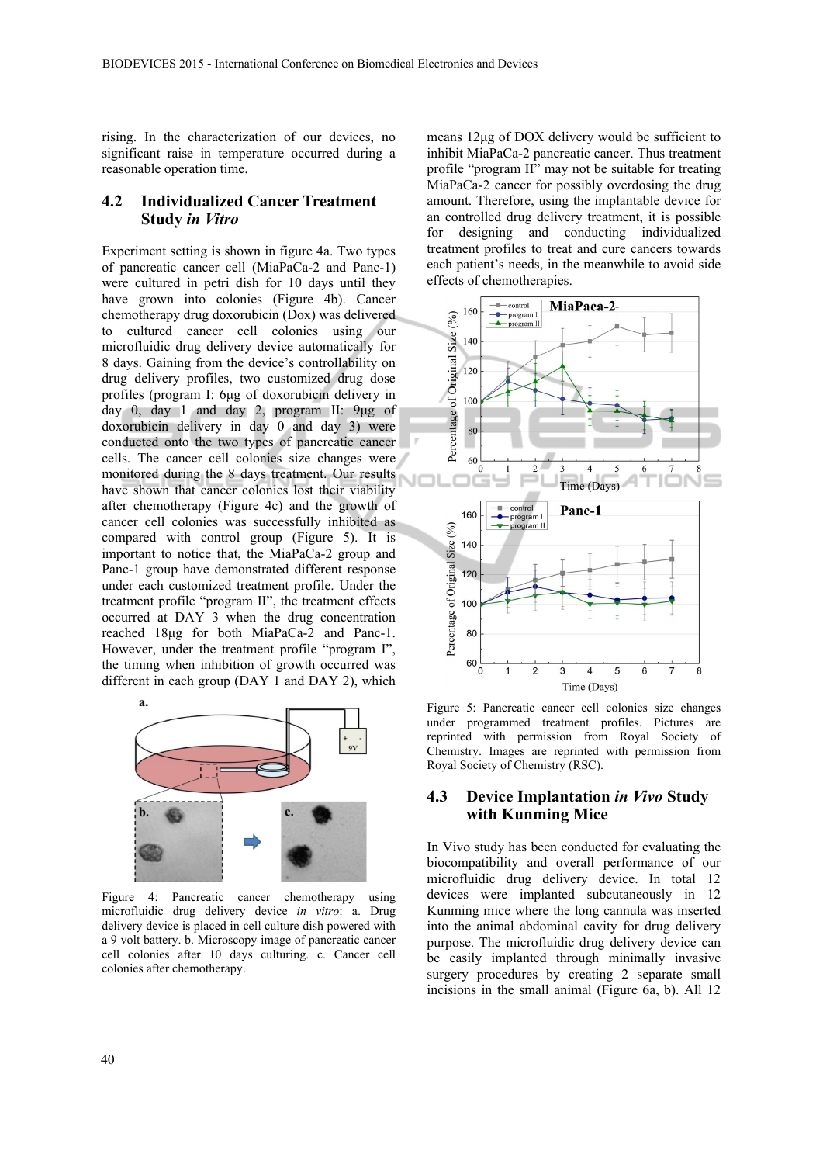rising. In the characterization of our devices, no significant raise in temperature occurred during a reasonable operation time.

#### **4.2 Individualized Cancer Treatment Study** *in Vitro*

Experiment setting is shown in figure 4a. Two types of pancreatic cancer cell (MiaPaCa-2 and Panc-1) were cultured in petri dish for 10 days until they have grown into colonies (Figure 4b). Cancer chemotherapy drug doxorubicin (Dox) was delivered to cultured cancer cell colonies using our microfluidic drug delivery device automatically for 8 days. Gaining from the device's controllability on drug delivery profiles, two customized drug dose profiles (program I: 6μg of doxorubicin delivery in day 0, day 1 and day 2, program II: 9μg of doxorubicin delivery in day 0 and day 3) were conducted onto the two types of pancreatic cancer cells. The cancer cell colonies size changes were monitored during the 8 days treatment. Our results have shown that cancer colonies lost their viability after chemotherapy (Figure 4c) and the growth of cancer cell colonies was successfully inhibited as compared with control group (Figure 5). It is important to notice that, the MiaPaCa-2 group and Panc-1 group have demonstrated different response under each customized treatment profile. Under the treatment profile "program II", the treatment effects occurred at DAY 3 when the drug concentration reached 18μg for both MiaPaCa-2 and Panc-1. However, under the treatment profile "program I", the timing when inhibition of growth occurred was different in each group (DAY 1 and DAY 2), which



Figure 4: Pancreatic cancer chemotherapy using microfluidic drug delivery device *in vitro*: a. Drug delivery device is placed in cell culture dish powered with a 9 volt battery. b. Microscopy image of pancreatic cancer cell colonies after 10 days culturing. c. Cancer cell colonies after chemotherapy.

means 12μg of DOX delivery would be sufficient to inhibit MiaPaCa-2 pancreatic cancer. Thus treatment profile "program II" may not be suitable for treating MiaPaCa-2 cancer for possibly overdosing the drug amount. Therefore, using the implantable device for an controlled drug delivery treatment, it is possible for designing and conducting individualized treatment profiles to treat and cure cancers towards each patient's needs, in the meanwhile to avoid side effects of chemotherapies.



Figure 5: Pancreatic cancer cell colonies size changes under programmed treatment profiles. Pictures are reprinted with permission from Royal Society of Chemistry. Images are reprinted with permission from Royal Society of Chemistry (RSC).

#### **4.3 Device Implantation** *in Vivo* **Study with Kunming Mice**

In Vivo study has been conducted for evaluating the biocompatibility and overall performance of our microfluidic drug delivery device. In total 12 devices were implanted subcutaneously in 12 Kunming mice where the long cannula was inserted into the animal abdominal cavity for drug delivery purpose. The microfluidic drug delivery device can be easily implanted through minimally invasive surgery procedures by creating 2 separate small incisions in the small animal (Figure 6a, b). All 12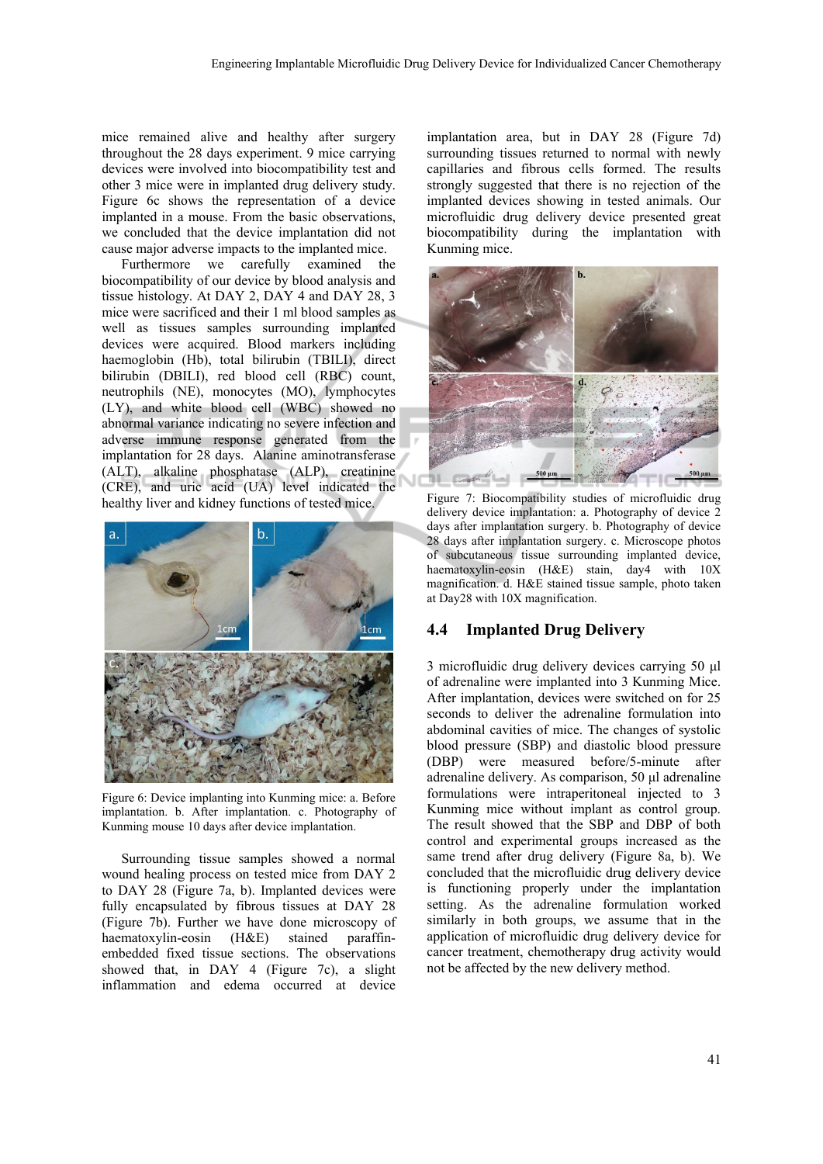mice remained alive and healthy after surgery throughout the 28 days experiment. 9 mice carrying devices were involved into biocompatibility test and other 3 mice were in implanted drug delivery study. Figure 6c shows the representation of a device implanted in a mouse. From the basic observations, we concluded that the device implantation did not cause major adverse impacts to the implanted mice.

Furthermore we carefully examined the biocompatibility of our device by blood analysis and tissue histology. At DAY 2, DAY 4 and DAY 28, 3 mice were sacrificed and their 1 ml blood samples as well as tissues samples surrounding implanted devices were acquired. Blood markers including haemoglobin (Hb), total bilirubin (TBILI), direct bilirubin (DBILI), red blood cell (RBC) count, neutrophils (NE), monocytes (MO), lymphocytes (LY), and white blood cell (WBC) showed no abnormal variance indicating no severe infection and adverse immune response generated from the implantation for 28 days. Alanine aminotransferase (ALT), alkaline phosphatase (ALP), creatinine (CRE), and uric acid (UA) level indicated the healthy liver and kidney functions of tested mice.



Figure 6: Device implanting into Kunming mice: a. Before implantation. b. After implantation. c. Photography of Kunming mouse 10 days after device implantation.

Surrounding tissue samples showed a normal wound healing process on tested mice from DAY 2 to DAY 28 (Figure 7a, b). Implanted devices were fully encapsulated by fibrous tissues at DAY 28 (Figure 7b). Further we have done microscopy of haematoxylin-eosin (H&E) stained paraffinembedded fixed tissue sections. The observations showed that, in DAY 4 (Figure 7c), a slight inflammation and edema occurred at device

implantation area, but in DAY 28 (Figure 7d) surrounding tissues returned to normal with newly capillaries and fibrous cells formed. The results strongly suggested that there is no rejection of the implanted devices showing in tested animals. Our microfluidic drug delivery device presented great biocompatibility during the implantation with Kunming mice.



Figure 7: Biocompatibility studies of microfluidic drug delivery device implantation: a. Photography of device 2 days after implantation surgery. b. Photography of device 28 days after implantation surgery. c. Microscope photos of subcutaneous tissue surrounding implanted device, haematoxylin-eosin (H&E) stain, day4 with 10X magnification. d. H&E stained tissue sample, photo taken at Day28 with 10X magnification.

## **4.4 Implanted Drug Delivery**

3 microfluidic drug delivery devices carrying 50 μl of adrenaline were implanted into 3 Kunming Mice. After implantation, devices were switched on for 25 seconds to deliver the adrenaline formulation into abdominal cavities of mice. The changes of systolic blood pressure (SBP) and diastolic blood pressure (DBP) were measured before/5-minute after adrenaline delivery. As comparison, 50 μl adrenaline formulations were intraperitoneal injected to 3 Kunming mice without implant as control group. The result showed that the SBP and DBP of both control and experimental groups increased as the same trend after drug delivery (Figure 8a, b). We concluded that the microfluidic drug delivery device is functioning properly under the implantation setting. As the adrenaline formulation worked similarly in both groups, we assume that in the application of microfluidic drug delivery device for cancer treatment, chemotherapy drug activity would not be affected by the new delivery method.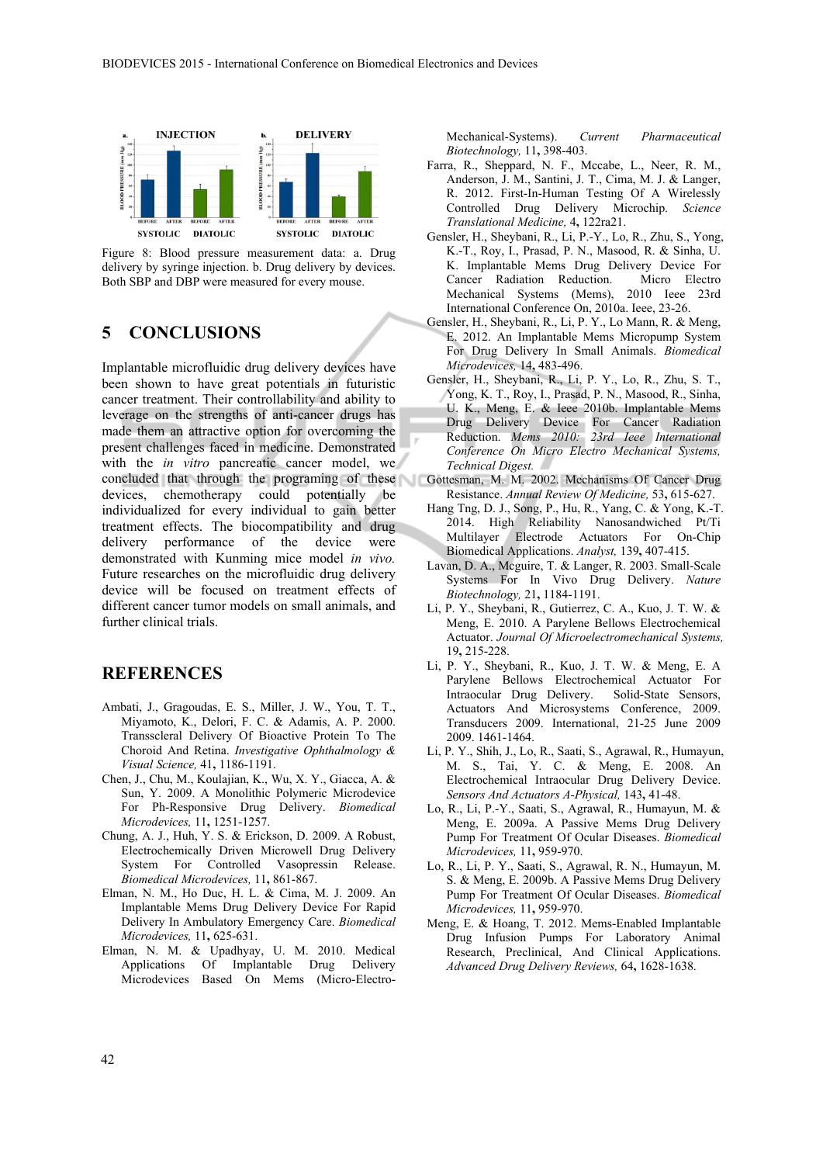



## **5 CONCLUSIONS**

Implantable microfluidic drug delivery devices have been shown to have great potentials in futuristic cancer treatment. Their controllability and ability to leverage on the strengths of anti-cancer drugs has made them an attractive option for overcoming the present challenges faced in medicine. Demonstrated with the *in vitro* pancreatic cancer model, we concluded that through the programing of these Gottesman, M. M. 2002. Mechanisms Of Cancer Drug devices, chemotherapy could potentially be individualized for every individual to gain better treatment effects. The biocompatibility and drug delivery performance of the device were demonstrated with Kunming mice model *in vivo.* Future researches on the microfluidic drug delivery device will be focused on treatment effects of different cancer tumor models on small animals, and further clinical trials.

## **REFERENCES**

- Ambati, J., Gragoudas, E. S., Miller, J. W., You, T. T., Miyamoto, K., Delori, F. C. & Adamis, A. P. 2000. Transscleral Delivery Of Bioactive Protein To The Choroid And Retina. *Investigative Ophthalmology & Visual Science,* 41**,** 1186-1191.
- Chen, J., Chu, M., Koulajian, K., Wu, X. Y., Giacca, A. & Sun, Y. 2009. A Monolithic Polymeric Microdevice For Ph-Responsive Drug Delivery. *Biomedical Microdevices,* 11**,** 1251-1257.
- Chung, A. J., Huh, Y. S. & Erickson, D. 2009. A Robust, Electrochemically Driven Microwell Drug Delivery System For Controlled Vasopressin Release. *Biomedical Microdevices,* 11**,** 861-867.
- Elman, N. M., Ho Duc, H. L. & Cima, M. J. 2009. An Implantable Mems Drug Delivery Device For Rapid Delivery In Ambulatory Emergency Care. *Biomedical Microdevices,* 11**,** 625-631.
- Elman, N. M. & Upadhyay, U. M. 2010. Medical Applications Of Implantable Drug Delivery Microdevices Based On Mems (Micro-Electro-

Mechanical-Systems). *Current Pharmaceutical Biotechnology,* 11**,** 398-403.

- Farra, R., Sheppard, N. F., Mccabe, L., Neer, R. M., Anderson, J. M., Santini, J. T., Cima, M. J. & Langer, R. 2012. First-In-Human Testing Of A Wirelessly Controlled Drug Delivery Microchip. *Science Translational Medicine,* 4**,** 122ra21.
- Gensler, H., Sheybani, R., Li, P.-Y., Lo, R., Zhu, S., Yong, K.-T., Roy, I., Prasad, P. N., Masood, R. & Sinha, U. K. Implantable Mems Drug Delivery Device For Cancer Radiation Reduction. Micro Electro Mechanical Systems (Mems), 2010 Ieee 23rd International Conference On, 2010a. Ieee, 23-26.
- Gensler, H., Sheybani, R., Li, P. Y., Lo Mann, R. & Meng, E. 2012. An Implantable Mems Micropump System For Drug Delivery In Small Animals. *Biomedical Microdevices,* 14**,** 483-496.
- Gensler, H., Sheybani, R., Li, P. Y., Lo, R., Zhu, S. T., Yong, K. T., Roy, I., Prasad, P. N., Masood, R., Sinha, U. K., Meng, E. & Ieee 2010b. Implantable Mems Drug Delivery Device For Cancer Radiation Reduction. *Mems 2010: 23rd Ieee International Conference On Micro Electro Mechanical Systems, Technical Digest.*
- Resistance. *Annual Review Of Medicine,* 53**,** 615-627.
- Hang Tng, D. J., Song, P., Hu, R., Yang, C. & Yong, K.-T. 2014. High Reliability Nanosandwiched Pt/Ti Multilayer Electrode Actuators For On-Chip Biomedical Applications. *Analyst,* 139**,** 407-415.
- Lavan, D. A., Mcguire, T. & Langer, R. 2003. Small-Scale Systems For In Vivo Drug Delivery. *Nature Biotechnology,* 21**,** 1184-1191.
- Li, P. Y., Sheybani, R., Gutierrez, C. A., Kuo, J. T. W. & Meng, E. 2010. A Parylene Bellows Electrochemical Actuator. *Journal Of Microelectromechanical Systems,* 19**,** 215-228.
- Li, P. Y., Sheybani, R., Kuo, J. T. W. & Meng, E. A Parylene Bellows Electrochemical Actuator For Intraocular Drug Delivery. Solid-State Sensors, Actuators And Microsystems Conference, 2009. Transducers 2009. International, 21-25 June 2009 2009. 1461-1464.
- Li, P. Y., Shih, J., Lo, R., Saati, S., Agrawal, R., Humayun, M. S., Tai, Y. C. & Meng, E. 2008. An Electrochemical Intraocular Drug Delivery Device. *Sensors And Actuators A-Physical,* 143**,** 41-48.
- Lo, R., Li, P.-Y., Saati, S., Agrawal, R., Humayun, M. & Meng, E. 2009a. A Passive Mems Drug Delivery Pump For Treatment Of Ocular Diseases. *Biomedical Microdevices,* 11**,** 959-970.
- Lo, R., Li, P. Y., Saati, S., Agrawal, R. N., Humayun, M. S. & Meng, E. 2009b. A Passive Mems Drug Delivery Pump For Treatment Of Ocular Diseases. *Biomedical Microdevices,* 11**,** 959-970.
- Meng, E. & Hoang, T. 2012. Mems-Enabled Implantable Drug Infusion Pumps For Laboratory Animal Research, Preclinical, And Clinical Applications. *Advanced Drug Delivery Reviews,* 64**,** 1628-1638.